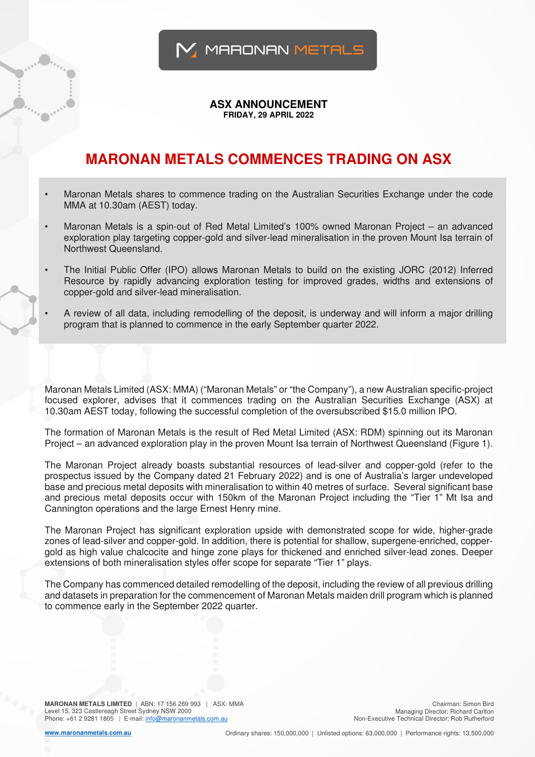

## **ASX ANNOUNCEMENT FRIDAY, 29 APRIL 2022**

## **MARONAN METALS COMMENCES TRADING ON ASX**

- Maronan Metals shares to commence trading on the Australian Securities Exchange under the code MMA at 10.30am (AEST) today.
- Maronan Metals is a spin-out of Red Metal Limited's 100% owned Maronan Project an advanced exploration play targeting copper-gold and silver-lead mineralisation in the proven Mount Isa terrain of Northwest Queensland.
- The Initial Public Offer (IPO) allows Maronan Metals to build on the existing JORC (2012) Inferred Resource by rapidly advancing exploration testing for improved grades, widths and extensions of copper-gold and silver-lead mineralisation.
- A review of all data, including remodelling of the deposit, is underway and will inform a major drilling program that is planned to commence in the early September quarter 2022.

Maronan Metals Limited (ASX: MMA) ("Maronan Metals" or "the Company"), a new Australian specific-project focused explorer, advises that it commences trading on the Australian Securities Exchange (ASX) at 10.30am AEST today, following the successful completion of the oversubscribed \$15.0 million IPO.

The formation of Maronan Metals is the result of Red Metal Limited (ASX: RDM) spinning out its Maronan Project – an advanced exploration play in the proven Mount Isa terrain of Northwest Queensland (Figure 1).

The Maronan Project already boasts substantial resources of lead-silver and copper-gold (refer to the prospectus issued by the Company dated 21 February 2022) and is one of Australia's larger undeveloped base and precious metal deposits with mineralisation to within 40 metres of surface. Several significant base and precious metal deposits occur with 150km of the Maronan Project including the "Tier 1" Mt Isa and Cannington operations and the large Ernest Henry mine.

The Maronan Project has significant exploration upside with demonstrated scope for wide, higher-grade zones of lead-silver and copper-gold. In addition, there is potential for shallow, supergene-enriched, coppergold as high value chalcocite and hinge zone plays for thickened and enriched silver-lead zones. Deeper extensions of both mineralisation styles offer scope for separate "Tier 1" plays.

The Company has commenced detailed remodelling of the deposit, including the review of all previous drilling and datasets in preparation for the commencement of Maronan Metals maiden drill program which is planned to commence early in the September 2022 quarter.

**MARONAN METALS LIMITED** | ABN: 17 156 269 993 | ASX: MMA Level 15, 323 Castlereagh Street Sydney NSW 2000 Phone: +61 2 9281 1805 | E-mail: info@maronanmetals.com.au

Chairman: Simon Bird Managing Director: Richard Carlton Non-Executive Technical Director: Rob Rutherford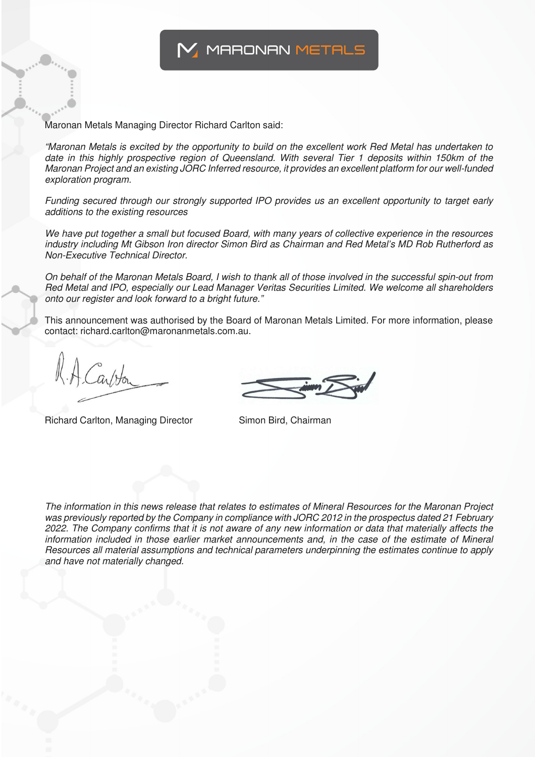

Maronan Metals Managing Director Richard Carlton said:

"Maronan Metals is excited by the opportunity to build on the excellent work Red Metal has undertaken to date in this highly prospective region of Queensland. With several Tier 1 deposits within 150km of the Maronan Project and an existing JORC Inferred resource, it provides an excellent platform for our well-funded exploration program.

Funding secured through our strongly supported IPO provides us an excellent opportunity to target early additions to the existing resources

We have put together a small but focused Board, with many years of collective experience in the resources industry including Mt Gibson Iron director Simon Bird as Chairman and Red Metal's MD Rob Rutherford as Non-Executive Technical Director.

On behalf of the Maronan Metals Board, I wish to thank all of those involved in the successful spin-out from Red Metal and IPO, especially our Lead Manager Veritas Securities Limited. We welcome all shareholders onto our register and look forward to a bright future."

This announcement was authorised by the Board of Maronan Metals Limited. For more information, please contact: richard.carlton@maronanmetals.com.au.

Richard Carlton, Managing Director Simon Bird, Chairman

The information in this news release that relates to estimates of Mineral Resources for the Maronan Project was previously reported by the Company in compliance with JORC 2012 in the prospectus dated 21 February 2022. The Company confirms that it is not aware of any new information or data that materially affects the information included in those earlier market announcements and, in the case of the estimate of Mineral Resources all material assumptions and technical parameters underpinning the estimates continue to apply and have not materially changed.